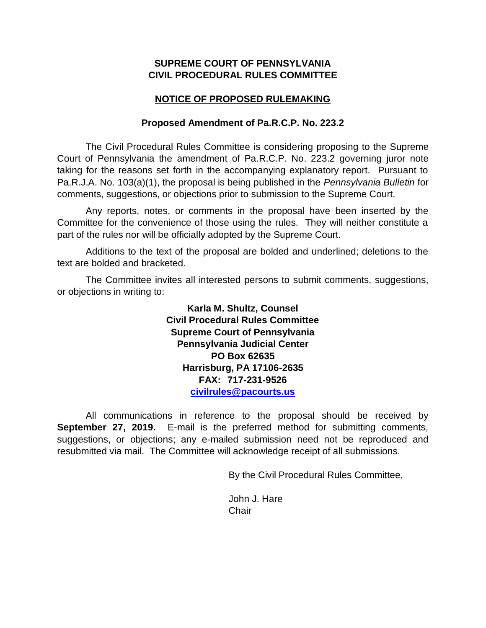# **SUPREME COURT OF PENNSYLVANIA CIVIL PROCEDURAL RULES COMMITTEE**

# **NOTICE OF PROPOSED RULEMAKING**

## **Proposed Amendment of Pa.R.C.P. No. 223.2**

The Civil Procedural Rules Committee is considering proposing to the Supreme Court of Pennsylvania the amendment of Pa.R.C.P. No. 223.2 governing juror note taking for the reasons set forth in the accompanying explanatory report. Pursuant to Pa.R.J.A. No. 103(a)(1), the proposal is being published in the *Pennsylvania Bulletin* for comments, suggestions, or objections prior to submission to the Supreme Court.

Any reports, notes, or comments in the proposal have been inserted by the Committee for the convenience of those using the rules. They will neither constitute a part of the rules nor will be officially adopted by the Supreme Court.

Additions to the text of the proposal are bolded and underlined; deletions to the text are bolded and bracketed.

The Committee invites all interested persons to submit comments, suggestions, or objections in writing to:

> **Karla M. Shultz, Counsel Civil Procedural Rules Committee Supreme Court of Pennsylvania Pennsylvania Judicial Center PO Box 62635 Harrisburg, PA 17106-2635 FAX: 717-231-9526 [civilrules@pacourts.us](mailto:civilrules@pacourts.us)**

All communications in reference to the proposal should be received by **September 27, 2019.** E-mail is the preferred method for submitting comments, suggestions, or objections; any e-mailed submission need not be reproduced and resubmitted via mail. The Committee will acknowledge receipt of all submissions.

By the Civil Procedural Rules Committee,

John J. Hare Chair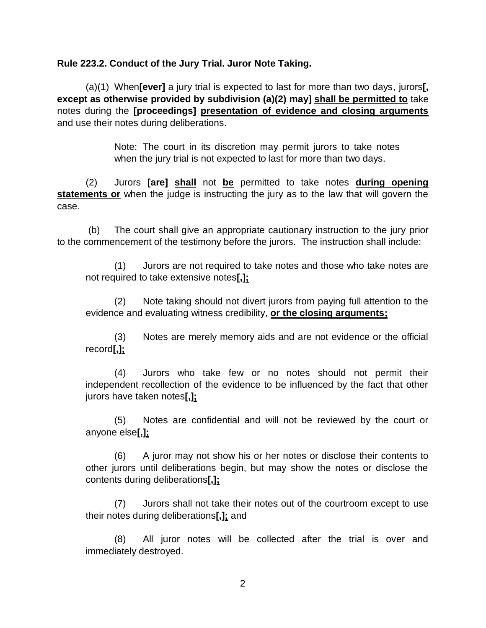## **Rule 223.2. Conduct of the Jury Trial. Juror Note Taking.**

(a)(1) When**[ever]** a jury trial is expected to last for more than two days, jurors**[, except as otherwise provided by subdivision (a)(2) may] shall be permitted to** take notes during the **[proceedings] presentation of evidence and closing arguments** and use their notes during deliberations.

> Note: The court in its discretion may permit jurors to take notes when the jury trial is not expected to last for more than two days.

(2) Jurors **[are] shall** not **be** permitted to take notes **during opening statements or** when the judge is instructing the jury as to the law that will govern the case.

(b) The court shall give an appropriate cautionary instruction to the jury prior to the commencement of the testimony before the jurors. The instruction shall include:

(1) Jurors are not required to take notes and those who take notes are not required to take extensive notes**[,];**

(2) Note taking should not divert jurors from paying full attention to the evidence and evaluating witness credibility, **or the closing arguments;**

(3) Notes are merely memory aids and are not evidence or the official record**[,];**

(4) Jurors who take few or no notes should not permit their independent recollection of the evidence to be influenced by the fact that other jurors have taken notes**[,];**

(5) Notes are confidential and will not be reviewed by the court or anyone else**[,];**

(6) A juror may not show his or her notes or disclose their contents to other jurors until deliberations begin, but may show the notes or disclose the contents during deliberations**[,];**

(7) Jurors shall not take their notes out of the courtroom except to use their notes during deliberations**[,];** and

(8) All juror notes will be collected after the trial is over and immediately destroyed.

2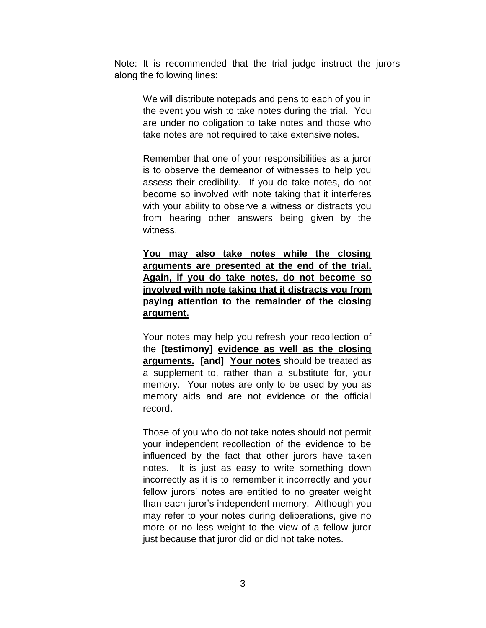Note: It is recommended that the trial judge instruct the jurors along the following lines:

We will distribute notepads and pens to each of you in the event you wish to take notes during the trial. You are under no obligation to take notes and those who take notes are not required to take extensive notes.

Remember that one of your responsibilities as a juror is to observe the demeanor of witnesses to help you assess their credibility. If you do take notes, do not become so involved with note taking that it interferes with your ability to observe a witness or distracts you from hearing other answers being given by the witness.

**You may also take notes while the closing arguments are presented at the end of the trial. Again, if you do take notes, do not become so involved with note taking that it distracts you from paying attention to the remainder of the closing argument.**

Your notes may help you refresh your recollection of the **[testimony] evidence as well as the closing arguments. [and] Your notes** should be treated as a supplement to, rather than a substitute for, your memory. Your notes are only to be used by you as memory aids and are not evidence or the official record.

Those of you who do not take notes should not permit your independent recollection of the evidence to be influenced by the fact that other jurors have taken notes. It is just as easy to write something down incorrectly as it is to remember it incorrectly and your fellow jurors' notes are entitled to no greater weight than each juror's independent memory. Although you may refer to your notes during deliberations, give no more or no less weight to the view of a fellow juror just because that juror did or did not take notes.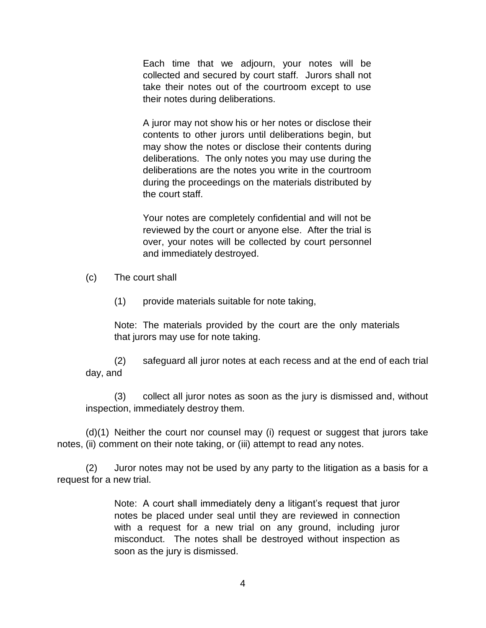Each time that we adjourn, your notes will be collected and secured by court staff. Jurors shall not take their notes out of the courtroom except to use their notes during deliberations.

A juror may not show his or her notes or disclose their contents to other jurors until deliberations begin, but may show the notes or disclose their contents during deliberations. The only notes you may use during the deliberations are the notes you write in the courtroom during the proceedings on the materials distributed by the court staff.

Your notes are completely confidential and will not be reviewed by the court or anyone else. After the trial is over, your notes will be collected by court personnel and immediately destroyed.

- (c) The court shall
	- (1) provide materials suitable for note taking,

Note: The materials provided by the court are the only materials that jurors may use for note taking.

(2) safeguard all juror notes at each recess and at the end of each trial day, and

(3) collect all juror notes as soon as the jury is dismissed and, without inspection, immediately destroy them.

(d)(1) Neither the court nor counsel may (i) request or suggest that jurors take notes, (ii) comment on their note taking, or (iii) attempt to read any notes.

 (2) Juror notes may not be used by any party to the litigation as a basis for a request for a new trial.

> Note: A court shall immediately deny a litigant's request that juror notes be placed under seal until they are reviewed in connection with a request for a new trial on any ground, including juror misconduct. The notes shall be destroyed without inspection as soon as the jury is dismissed.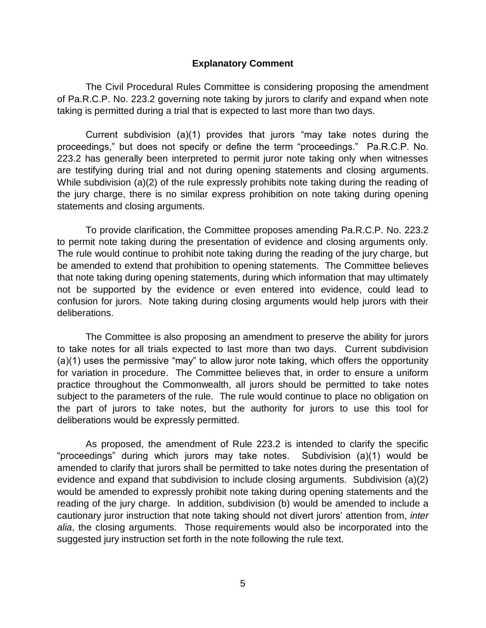#### **Explanatory Comment**

The Civil Procedural Rules Committee is considering proposing the amendment of Pa.R.C.P. No. 223.2 governing note taking by jurors to clarify and expand when note taking is permitted during a trial that is expected to last more than two days.

Current subdivision (a)(1) provides that jurors "may take notes during the proceedings," but does not specify or define the term "proceedings." Pa.R.C.P. No. 223.2 has generally been interpreted to permit juror note taking only when witnesses are testifying during trial and not during opening statements and closing arguments. While subdivision (a)(2) of the rule expressly prohibits note taking during the reading of the jury charge, there is no similar express prohibition on note taking during opening statements and closing arguments.

To provide clarification, the Committee proposes amending Pa.R.C.P. No. 223.2 to permit note taking during the presentation of evidence and closing arguments only. The rule would continue to prohibit note taking during the reading of the jury charge, but be amended to extend that prohibition to opening statements. The Committee believes that note taking during opening statements, during which information that may ultimately not be supported by the evidence or even entered into evidence, could lead to confusion for jurors. Note taking during closing arguments would help jurors with their deliberations.

The Committee is also proposing an amendment to preserve the ability for jurors to take notes for all trials expected to last more than two days. Current subdivision (a)(1) uses the permissive "may" to allow juror note taking, which offers the opportunity for variation in procedure. The Committee believes that, in order to ensure a uniform practice throughout the Commonwealth, all jurors should be permitted to take notes subject to the parameters of the rule. The rule would continue to place no obligation on the part of jurors to take notes, but the authority for jurors to use this tool for deliberations would be expressly permitted.

As proposed, the amendment of Rule 223.2 is intended to clarify the specific "proceedings" during which jurors may take notes. Subdivision (a)(1) would be amended to clarify that jurors shall be permitted to take notes during the presentation of evidence and expand that subdivision to include closing arguments. Subdivision (a)(2) would be amended to expressly prohibit note taking during opening statements and the reading of the jury charge. In addition, subdivision (b) would be amended to include a cautionary juror instruction that note taking should not divert jurors' attention from, *inter alia*, the closing arguments. Those requirements would also be incorporated into the suggested jury instruction set forth in the note following the rule text.